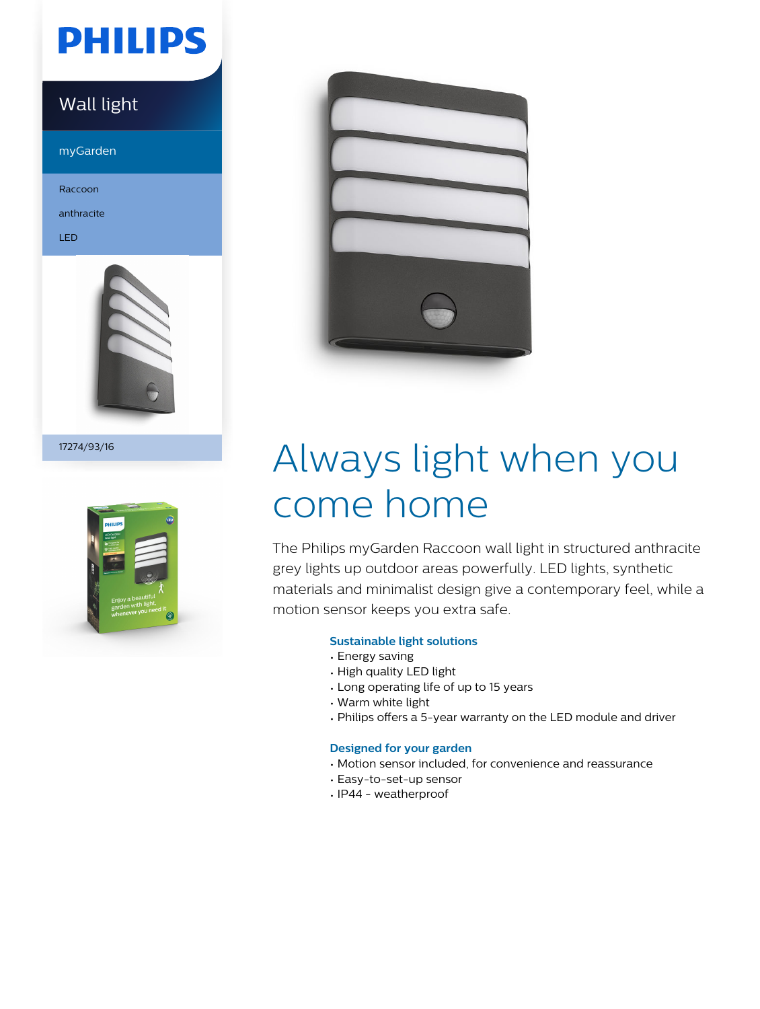# **PHILIPS**

### Wall light

myGarden

Raccoon

anthracite

LED



17274/93/16





# Always light when you come home

The Philips myGarden Raccoon wall light in structured anthracite grey lights up outdoor areas powerfully. LED lights, synthetic materials and minimalist design give a contemporary feel, while a motion sensor keeps you extra safe.

### **Sustainable light solutions**

- Energy saving
- High quality LED light
- Long operating life of up to 15 years
- Warm white light
- Philips offers a 5-year warranty on the LED module and driver

### **Designed for your garden**

- Motion sensor included, for convenience and reassurance
- Easy-to-set-up sensor
- IP44 weatherproof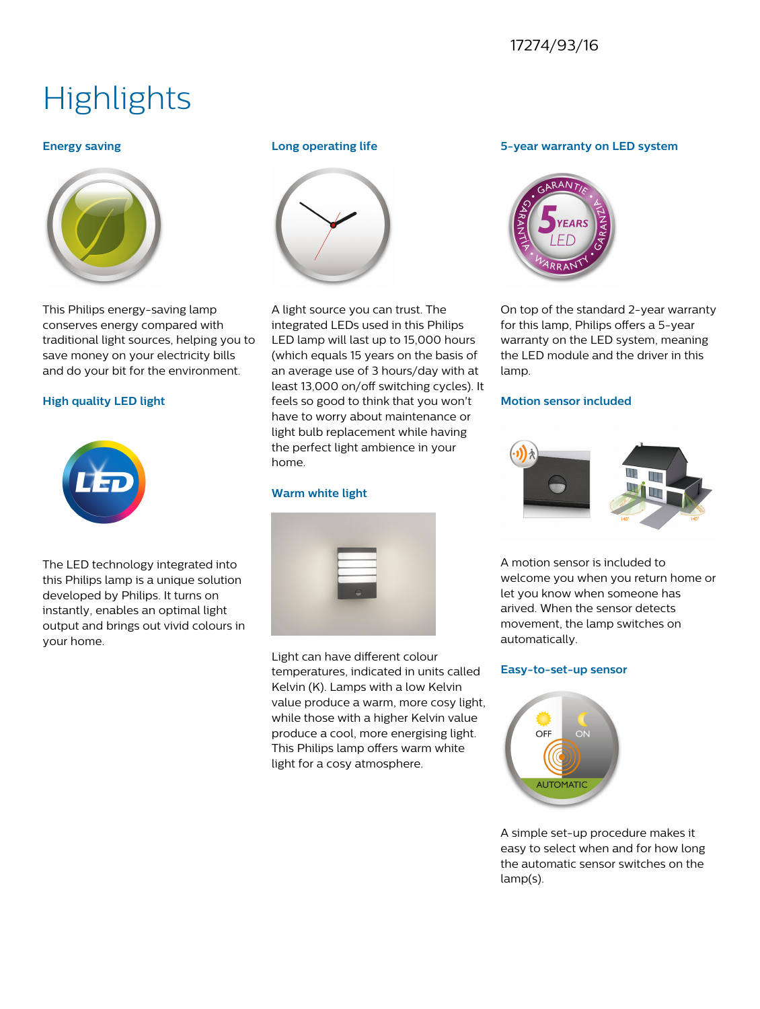### 17274/93/16

# **Highlights**

#### **Energy saving**



This Philips energy-saving lamp conserves energy compared with traditional light sources, helping you to save money on your electricity bills and do your bit for the environment.

#### **High quality LED light**



The LED technology integrated into this Philips lamp is a unique solution developed by Philips. It turns on instantly, enables an optimal light output and brings out vivid colours in your home.

#### **Long operating life**



A light source you can trust. The integrated LEDs used in this Philips LED lamp will last up to 15,000 hours (which equals 15 years on the basis of an average use of 3 hours/day with at least 13,000 on/off switching cycles). It feels so good to think that you won't have to worry about maintenance or light bulb replacement while having the perfect light ambience in your home.

#### **Warm white light**



Light can have different colour temperatures, indicated in units called Kelvin (K). Lamps with a low Kelvin value produce a warm, more cosy light, while those with a higher Kelvin value produce a cool, more energising light. This Philips lamp offers warm white light for a cosy atmosphere.

#### **5-year warranty on LED system**



On top of the standard 2-year warranty for this lamp, Philips offers a 5-year warranty on the LED system, meaning the LED module and the driver in this lamp.

#### **Motion sensor included**



A motion sensor is included to welcome you when you return home or let you know when someone has arived. When the sensor detects movement, the lamp switches on automatically.

#### **Easy-to-set-up sensor**



A simple set-up procedure makes it easy to select when and for how long the automatic sensor switches on the lamp(s).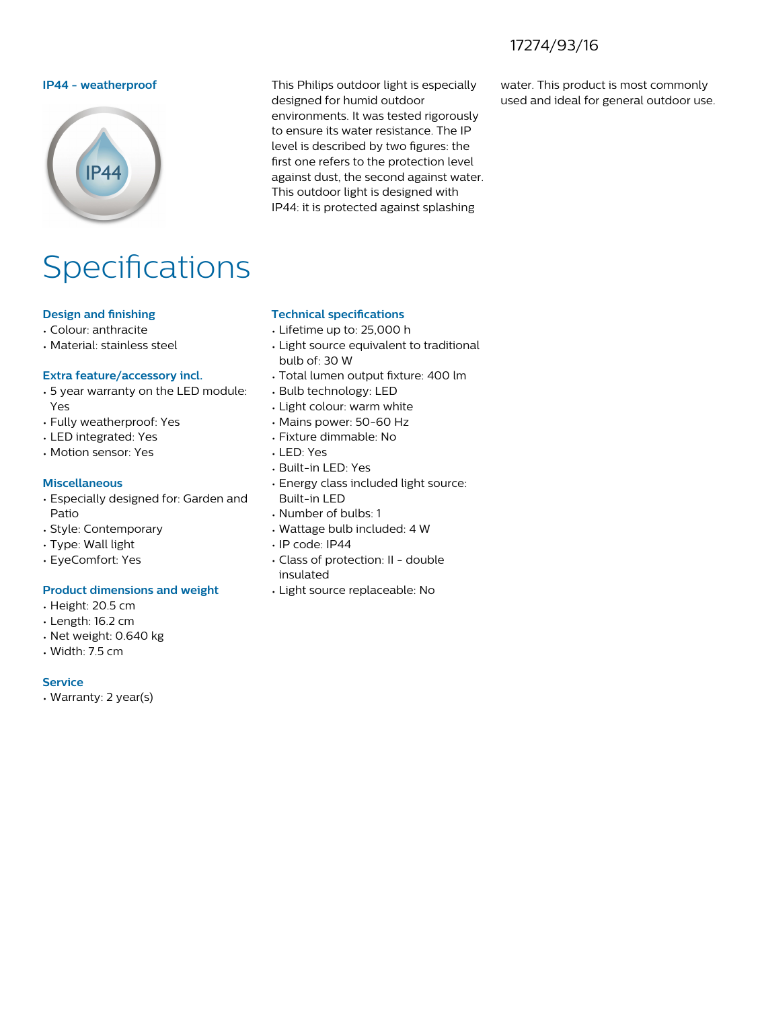### 17274/93/16



# Specifications

#### **Design and finishing**

- Colour: anthracite
- Material: stainless steel

#### **Extra feature/accessory incl.**

- 5 year warranty on the LED module: Yes
- Fully weatherproof: Yes
- LED integrated: Yes
- Motion sensor: Yes

#### **Miscellaneous**

- Especially designed for: Garden and Patio
- Style: Contemporary
- Type: Wall light
- EyeComfort: Yes

#### **Product dimensions and weight**

- Height: 20.5 cm
- Length: 16.2 cm
- Net weight: 0.640 kg
- Width: 7.5 cm

#### **Service**

• Warranty: 2 year(s)

**IP44 - weatherproof** This Philips outdoor light is especially designed for humid outdoor environments. It was tested rigorously to ensure its water resistance. The IP level is described by two figures: the first one refers to the protection level against dust, the second against water. This outdoor light is designed with IP44: it is protected against splashing

water. This product is most commonly used and ideal for general outdoor use.

#### **Technical specifications**

- Lifetime up to: 25,000 h
- Light source equivalent to traditional bulb of: 30 W
- Total lumen output fixture: 400 lm
- Bulb technology: LED
- Light colour: warm white
- Mains power: 50-60 Hz
- Fixture dimmable: No
- LED: Yes
- Built-in LED: Yes
- Energy class included light source: Built-in LED
- Number of bulbs: 1
- Wattage bulb included: 4 W
- IP code: IP44
- Class of protection: II double insulated
- Light source replaceable: No